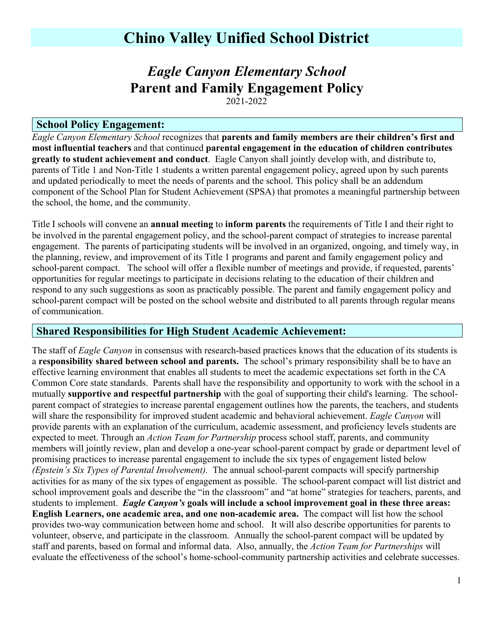## **Chino Valley Unified School District**

# *Eagle Canyon Elementary School* **Parent and Family Engagement Policy**

2021-2022

#### **School Policy Engagement:**

*Eagle Canyon Elementary School* recognizes that **parents and family members are their children's first and most influential teachers** and that continued **parental engagement in the education of children contributes greatly to student achievement and conduct**. Eagle Canyon shall jointly develop with, and distribute to, parents of Title 1 and Non-Title 1 students a written parental engagement policy, agreed upon by such parents and updated periodically to meet the needs of parents and the school. This policy shall be an addendum component of the School Plan for Student Achievement (SPSA) that promotes a meaningful partnership between the school, the home, and the community.

Title I schools will convene an **annual meeting** to **inform parents** the requirements of Title I and their right to be involved in the parental engagement policy, and the school-parent compact of strategies to increase parental engagement. The parents of participating students will be involved in an organized, ongoing, and timely way, in the planning, review, and improvement of its Title 1 programs and parent and family engagement policy and school-parent compact. The school will offer a flexible number of meetings and provide, if requested, parents' opportunities for regular meetings to participate in decisions relating to the education of their children and respond to any such suggestions as soon as practicably possible. The parent and family engagement policy and school-parent compact will be posted on the school website and distributed to all parents through regular means of communication.

#### **Shared Responsibilities for High Student Academic Achievement:**

The staff of *Eagle Canyon* in consensus with research-based practices knows that the education of its students is a **responsibility shared between school and parents.** The school's primary responsibility shall be to have an effective learning environment that enables all students to meet the academic expectations set forth in the CA Common Core state standards. Parents shall have the responsibility and opportunity to work with the school in a mutually **supportive and respectful partnership** with the goal of supporting their child's learning. The schoolparent compact of strategies to increase parental engagement outlines how the parents, the teachers, and students will share the responsibility for improved student academic and behavioral achievement. *Eagle Canyon* will provide parents with an explanation of the curriculum, academic assessment, and proficiency levels students are expected to meet. Through an *Action Team for Partnership* process school staff, parents, and community members will jointly review, plan and develop a one-year school-parent compact by grade or department level of promising practices to increase parental engagement to include the six types of engagement listed below *(Epstein's Six Types of Parental Involvement).* The annual school-parent compacts will specify partnership activities for as many of the six types of engagement as possible. The school-parent compact will list district and school improvement goals and describe the "in the classroom" and "at home" strategies for teachers, parents, and students to implement. *Eagle Canyon's* **goals will include a school improvement goal in these three areas: English Learners, one academic area, and one non-academic area.** The compact will list how the school provides two-way communication between home and school. It will also describe opportunities for parents to volunteer, observe, and participate in the classroom. Annually the school-parent compact will be updated by staff and parents, based on formal and informal data. Also, annually, the *Action Team for Partnerships* will evaluate the effectiveness of the school's home-school-community partnership activities and celebrate successes.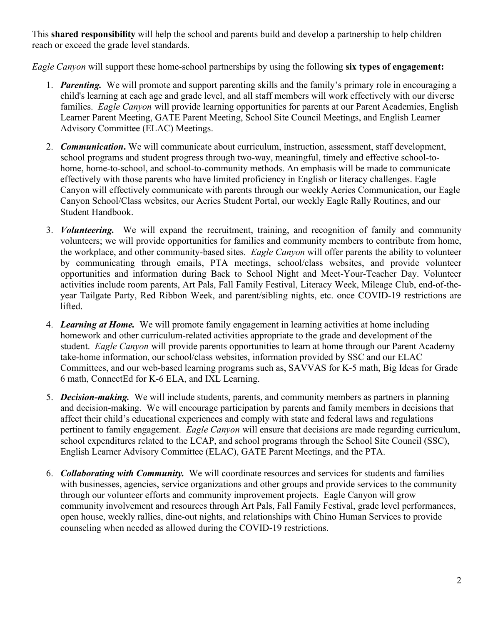This **shared responsibility** will help the school and parents build and develop a partnership to help children reach or exceed the grade level standards.

*Eagle Canyon* will support these home-school partnerships by using the following **six types of engagement:**

- 1. *Parenting.*We will promote and support parenting skills and the family's primary role in encouraging a child's learning at each age and grade level, and all staff members will work effectively with our diverse families. *Eagle Canyon* will provide learning opportunities for parents at our Parent Academies, English Learner Parent Meeting, GATE Parent Meeting, School Site Council Meetings, and English Learner Advisory Committee (ELAC) Meetings.
- 2. *Communication***.** We will communicate about curriculum, instruction, assessment, staff development, school programs and student progress through two-way, meaningful, timely and effective school-tohome, home-to-school, and school-to-community methods. An emphasis will be made to communicate effectively with those parents who have limited proficiency in English or literacy challenges. Eagle Canyon will effectively communicate with parents through our weekly Aeries Communication, our Eagle Canyon School/Class websites, our Aeries Student Portal, our weekly Eagle Rally Routines, and our Student Handbook.
- 3. *Volunteering.*We will expand the recruitment, training, and recognition of family and community volunteers; we will provide opportunities for families and community members to contribute from home, the workplace, and other community-based sites. *Eagle Canyon* will offer parents the ability to volunteer by communicating through emails, PTA meetings, school/class websites, and provide volunteer opportunities and information during Back to School Night and Meet-Your-Teacher Day. Volunteer activities include room parents, Art Pals, Fall Family Festival, Literacy Week, Mileage Club, end-of-theyear Tailgate Party, Red Ribbon Week, and parent/sibling nights, etc. once COVID-19 restrictions are lifted.
- 4. *Learning at Home.*We will promote family engagement in learning activities at home including homework and other curriculum-related activities appropriate to the grade and development of the student. *Eagle Canyon* will provide parents opportunities to learn at home through our Parent Academy take-home information, our school/class websites, information provided by SSC and our ELAC Committees, and our web-based learning programs such as, SAVVAS for K-5 math, Big Ideas for Grade 6 math, ConnectEd for K-6 ELA, and IXL Learning.
- 5. *Decision-making.*We will include students, parents, and community members as partners in planning and decision-making. We will encourage participation by parents and family members in decisions that affect their child's educational experiences and comply with state and federal laws and regulations pertinent to family engagement. *Eagle Canyon* will ensure that decisions are made regarding curriculum, school expenditures related to the LCAP, and school programs through the School Site Council (SSC), English Learner Advisory Committee (ELAC), GATE Parent Meetings, and the PTA.
- 6. *Collaborating with Community.* We will coordinate resources and services for students and families with businesses, agencies, service organizations and other groups and provide services to the community through our volunteer efforts and community improvement projects. Eagle Canyon will grow community involvement and resources through Art Pals, Fall Family Festival, grade level performances, open house, weekly rallies, dine-out nights, and relationships with Chino Human Services to provide counseling when needed as allowed during the COVID-19 restrictions.